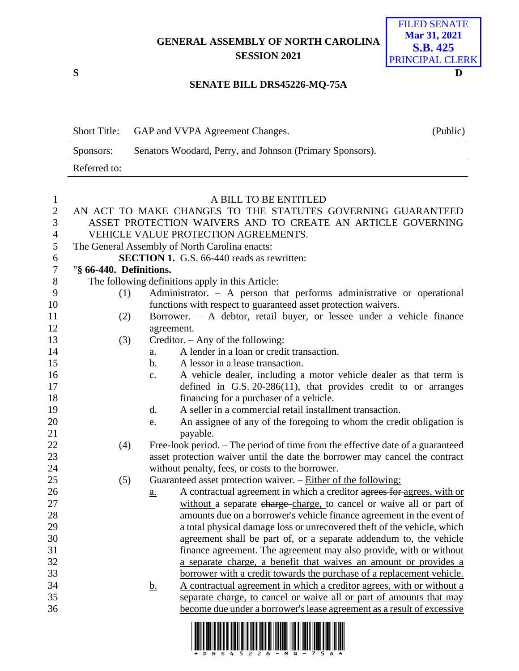**GENERAL ASSEMBLY OF NORTH CAROLINA SESSION 2021**



## **SENATE BILL DRS45226-MQ-75A**

|                  | <b>Short Title:</b>                                         |                                                             | GAP and VVPA Agreement Changes.                                                                      | (Public) |  |  |
|------------------|-------------------------------------------------------------|-------------------------------------------------------------|------------------------------------------------------------------------------------------------------|----------|--|--|
|                  | Sponsors:                                                   |                                                             | Senators Woodard, Perry, and Johnson (Primary Sponsors).                                             |          |  |  |
|                  | Referred to:                                                |                                                             |                                                                                                      |          |  |  |
|                  |                                                             |                                                             |                                                                                                      |          |  |  |
| $\mathbf{1}$     |                                                             |                                                             | A BILL TO BE ENTITLED                                                                                |          |  |  |
| $\sqrt{2}$       |                                                             | AN ACT TO MAKE CHANGES TO THE STATUTES GOVERNING GUARANTEED |                                                                                                      |          |  |  |
| 3                | ASSET PROTECTION WAIVERS AND TO CREATE AN ARTICLE GOVERNING |                                                             |                                                                                                      |          |  |  |
| 4                | VEHICLE VALUE PROTECTION AGREEMENTS.                        |                                                             |                                                                                                      |          |  |  |
| 5                | The General Assembly of North Carolina enacts:              |                                                             |                                                                                                      |          |  |  |
| 6                | <b>SECTION 1.</b> G.S. 66-440 reads as rewritten:           |                                                             |                                                                                                      |          |  |  |
| $\boldsymbol{7}$ | "§ 66-440. Definitions.                                     |                                                             |                                                                                                      |          |  |  |
| 8                |                                                             |                                                             | The following definitions apply in this Article:                                                     |          |  |  |
| 9                | (1)                                                         |                                                             | Administrator. $-$ A person that performs administrative or operational                              |          |  |  |
| 10               |                                                             |                                                             | functions with respect to guaranteed asset protection waivers.                                       |          |  |  |
| 11               | (2)                                                         |                                                             | Borrower. - A debtor, retail buyer, or lessee under a vehicle finance                                |          |  |  |
| 12               |                                                             | agreement.                                                  |                                                                                                      |          |  |  |
| 13               | (3)                                                         |                                                             | Creditor. $-$ Any of the following:                                                                  |          |  |  |
| 14               |                                                             | a.                                                          | A lender in a loan or credit transaction.                                                            |          |  |  |
| 15               |                                                             | $\mathbf b$ .                                               | A lessor in a lease transaction.                                                                     |          |  |  |
| 16               |                                                             | $C_{\bullet}$                                               | A vehicle dealer, including a motor vehicle dealer as that term is                                   |          |  |  |
| 17               |                                                             |                                                             | defined in G.S. $20-286(11)$ , that provides credit to or arranges                                   |          |  |  |
| 18               |                                                             |                                                             | financing for a purchaser of a vehicle.                                                              |          |  |  |
| 19               |                                                             | $\mathbf{d}$ .                                              | A seller in a commercial retail installment transaction.                                             |          |  |  |
| 20<br>21         |                                                             | e.                                                          | An assignee of any of the foregoing to whom the credit obligation is<br>payable.                     |          |  |  |
| 22               | (4)                                                         |                                                             | Free-look period. – The period of time from the effective date of a guaranteed                       |          |  |  |
| 23               |                                                             |                                                             | asset protection waiver until the date the borrower may cancel the contract                          |          |  |  |
| 24               |                                                             |                                                             | without penalty, fees, or costs to the borrower.                                                     |          |  |  |
| 25               | (5)                                                         |                                                             | Guaranteed asset protection waiver. - Either of the following:                                       |          |  |  |
| 26               |                                                             | <u>a.</u>                                                   | A contractual agreement in which a creditor agrees for agrees, with or                               |          |  |  |
| 27               |                                                             |                                                             | without a separate charge-charge, to cancel or waive all or part of                                  |          |  |  |
| 28               |                                                             |                                                             | amounts due on a borrower's vehicle finance agreement in the event of                                |          |  |  |
| 29               |                                                             |                                                             | a total physical damage loss or unrecovered theft of the vehicle, which                              |          |  |  |
| 30               |                                                             |                                                             | agreement shall be part of, or a separate addendum to, the vehicle                                   |          |  |  |
| 31               |                                                             |                                                             | finance agreement. The agreement may also provide, with or without                                   |          |  |  |
| 32               |                                                             |                                                             | a separate charge, a benefit that waives an amount or provides a                                     |          |  |  |
| 33               |                                                             |                                                             | borrower with a credit towards the purchase of a replacement vehicle.                                |          |  |  |
| 34               |                                                             | <u>b.</u>                                                   | A contractual agreement in which a creditor agrees, with or without a                                |          |  |  |
| 35               |                                                             |                                                             | separate charge, to cancel or waive all or part of amounts that may                                  |          |  |  |
| 36               |                                                             |                                                             | become due under a borrower's lease agreement as a result of excessive                               |          |  |  |
|                  |                                                             |                                                             | <u>T TERITE TERITE TIETE IN BIRBI BINE NEIB NEIB BIN NEBERIT INIB BI NEBIT TERET BIJEN TEI TERI.</u> |          |  |  |

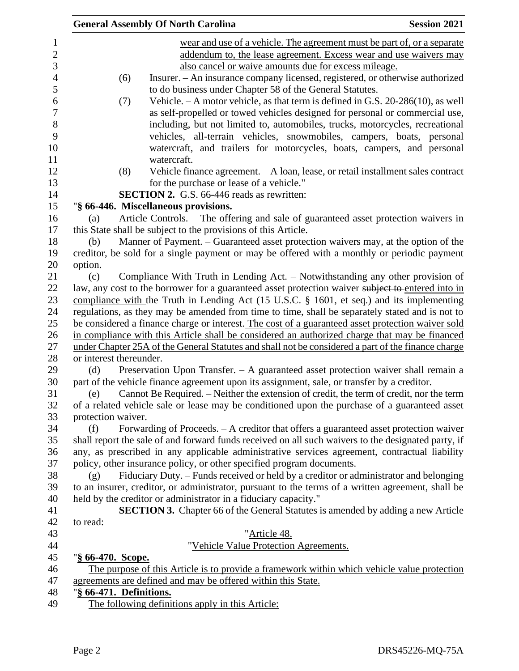|                           | <b>General Assembly Of North Carolina</b>                                                           | <b>Session 2021</b> |
|---------------------------|-----------------------------------------------------------------------------------------------------|---------------------|
|                           | wear and use of a vehicle. The agreement must be part of, or a separate                             |                     |
|                           | addendum to, the lease agreement. Excess wear and use waivers may                                   |                     |
|                           | also cancel or waive amounts due for excess mileage.                                                |                     |
| (6)                       | Insurer. - An insurance company licensed, registered, or otherwise authorized                       |                     |
|                           | to do business under Chapter 58 of the General Statutes.                                            |                     |
| (7)                       | Vehicle. $-A$ motor vehicle, as that term is defined in G.S. 20-286(10), as well                    |                     |
|                           | as self-propelled or towed vehicles designed for personal or commercial use,                        |                     |
|                           | including, but not limited to, automobiles, trucks, motorcycles, recreational                       |                     |
|                           | vehicles, all-terrain vehicles, snowmobiles, campers, boats, personal                               |                     |
|                           | watercraft, and trailers for motorcycles, boats, campers, and personal                              |                     |
|                           | watercraft.                                                                                         |                     |
| (8)                       | Vehicle finance agreement. - A loan, lease, or retail installment sales contract                    |                     |
|                           | for the purchase or lease of a vehicle."                                                            |                     |
|                           | <b>SECTION 2.</b> G.S. 66-446 reads as rewritten:                                                   |                     |
|                           | "§ 66-446. Miscellaneous provisions.                                                                |                     |
| (a)                       | Article Controls. - The offering and sale of guaranteed asset protection waivers in                 |                     |
|                           | this State shall be subject to the provisions of this Article.                                      |                     |
| (b)                       | Manner of Payment. - Guaranteed asset protection waivers may, at the option of the                  |                     |
|                           | creditor, be sold for a single payment or may be offered with a monthly or periodic payment         |                     |
| option.                   |                                                                                                     |                     |
| (c)                       | Compliance With Truth in Lending Act. - Notwithstanding any other provision of                      |                     |
|                           | law, any cost to the borrower for a guaranteed asset protection waiver subject to entered into in   |                     |
|                           | compliance with the Truth in Lending Act (15 U.S.C. § 1601, et seq.) and its implementing           |                     |
|                           | regulations, as they may be amended from time to time, shall be separately stated and is not to     |                     |
|                           | be considered a finance charge or interest. The cost of a guaranteed asset protection waiver sold   |                     |
|                           | in compliance with this Article shall be considered an authorized charge that may be financed       |                     |
|                           | under Chapter 25A of the General Statutes and shall not be considered a part of the finance charge  |                     |
| or interest thereunder.   |                                                                                                     |                     |
| (d)                       | Preservation Upon Transfer. $-$ A guaranteed asset protection waiver shall remain a                 |                     |
|                           | part of the vehicle finance agreement upon its assignment, sale, or transfer by a creditor.         |                     |
| (e)                       | Cannot Be Required. - Neither the extension of credit, the term of credit, nor the term             |                     |
|                           | of a related vehicle sale or lease may be conditioned upon the purchase of a guaranteed asset       |                     |
| protection waiver.        |                                                                                                     |                     |
| (f)                       | Forwarding of Proceeds. - A creditor that offers a guaranteed asset protection waiver               |                     |
|                           | shall report the sale of and forward funds received on all such waivers to the designated party, if |                     |
|                           | any, as prescribed in any applicable administrative services agreement, contractual liability       |                     |
|                           | policy, other insurance policy, or other specified program documents.                               |                     |
| (g)                       | Fiduciary Duty. – Funds received or held by a creditor or administrator and belonging               |                     |
|                           | to an insurer, creditor, or administrator, pursuant to the terms of a written agreement, shall be   |                     |
|                           | held by the creditor or administrator in a fiduciary capacity."                                     |                     |
|                           | <b>SECTION 3.</b> Chapter 66 of the General Statutes is amended by adding a new Article             |                     |
| to read:                  |                                                                                                     |                     |
|                           | "Article 48.                                                                                        |                     |
|                           | "Vehicle Value Protection Agreements.                                                               |                     |
| " <u>§ 66-470. Scope.</u> |                                                                                                     |                     |
|                           | The purpose of this Article is to provide a framework within which vehicle value protection         |                     |
|                           | agreements are defined and may be offered within this State.                                        |                     |
| "§ 66-471. Definitions.   |                                                                                                     |                     |
|                           | The following definitions apply in this Article:                                                    |                     |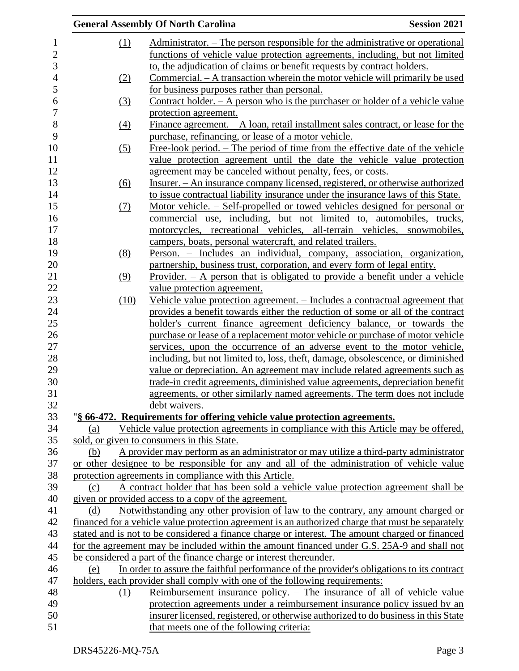|                 | <b>Session 2021</b><br><b>General Assembly Of North Carolina</b>                                                                                            |
|-----------------|-------------------------------------------------------------------------------------------------------------------------------------------------------------|
| (1)             | Administrator. – The person responsible for the administrative or operational                                                                               |
|                 | functions of vehicle value protection agreements, including, but not limited                                                                                |
|                 | to, the adjudication of claims or benefit requests by contract holders.                                                                                     |
| (2)             | Commercial. – A transaction wherein the motor vehicle will primarily be used                                                                                |
|                 | for business purposes rather than personal.                                                                                                                 |
| (3)             | <u>Contract holder. <math>-</math> A person who is the purchaser or holder of a vehicle value</u>                                                           |
|                 | protection agreement.                                                                                                                                       |
| $\frac{(4)}{4}$ | Finance agreement. $- A$ loan, retail installment sales contract, or lease for the                                                                          |
|                 | purchase, refinancing, or lease of a motor vehicle.                                                                                                         |
| (5)             | Free-look period. – The period of time from the effective date of the vehicle                                                                               |
|                 | value protection agreement until the date the vehicle value protection                                                                                      |
|                 | agreement may be canceled without penalty, fees, or costs.                                                                                                  |
| (6)             | Insurer. – An insurance company licensed, registered, or otherwise authorized                                                                               |
|                 | to issue contractual liability insurance under the insurance laws of this State.                                                                            |
| <u>(7)</u>      | Motor vehicle. – Self-propelled or towed vehicles designed for personal or                                                                                  |
|                 | commercial use, including, but not limited to, automobiles, trucks,                                                                                         |
|                 | motorcycles, recreational vehicles, all-terrain vehicles, snowmobiles,                                                                                      |
|                 | campers, boats, personal watercraft, and related trailers.                                                                                                  |
| (8)             | Person. – Includes an individual, company, association, organization,                                                                                       |
|                 | partnership, business trust, corporation, and every form of legal entity.                                                                                   |
| (9)             | Provider. $-$ A person that is obligated to provide a benefit under a vehicle                                                                               |
|                 | value protection agreement.                                                                                                                                 |
| (10)            | Vehicle value protection agreement. – Includes a contractual agreement that                                                                                 |
|                 | provides a benefit towards either the reduction of some or all of the contract                                                                              |
|                 | holder's current finance agreement deficiency balance, or towards the                                                                                       |
|                 | purchase or lease of a replacement motor vehicle or purchase of motor vehicle                                                                               |
|                 | services, upon the occurrence of an adverse event to the motor vehicle,                                                                                     |
|                 | including, but not limited to, loss, theft, damage, obsolescence, or diminished                                                                             |
|                 | value or depreciation. An agreement may include related agreements such as                                                                                  |
|                 | trade-in credit agreements, diminished value agreements, depreciation benefit<br>agreements, or other similarly named agreements. The term does not include |
|                 | debt waivers.                                                                                                                                               |
|                 | "§ 66-472. Requirements for offering vehicle value protection agreements.                                                                                   |
| (a)             | Vehicle value protection agreements in compliance with this Article may be offered,                                                                         |
|                 | sold, or given to consumers in this State.                                                                                                                  |
| (b)             | A provider may perform as an administrator or may utilize a third-party administrator                                                                       |
|                 | or other designee to be responsible for any and all of the administration of vehicle value                                                                  |
|                 | protection agreements in compliance with this Article.                                                                                                      |
| (c)             | A contract holder that has been sold a vehicle value protection agreement shall be                                                                          |
|                 | given or provided access to a copy of the agreement.                                                                                                        |
| (d)             | Notwithstanding any other provision of law to the contrary, any amount charged or                                                                           |
|                 | financed for a vehicle value protection agreement is an authorized charge that must be separately                                                           |
|                 | stated and is not to be considered a finance charge or interest. The amount charged or financed                                                             |
|                 | for the agreement may be included within the amount financed under G.S. 25A-9 and shall not                                                                 |
|                 | be considered a part of the finance charge or interest thereunder.                                                                                          |
| (e)             | In order to assure the faithful performance of the provider's obligations to its contract                                                                   |
|                 | holders, each provider shall comply with one of the following requirements:                                                                                 |
| (1)             | Reimbursement insurance policy. – The insurance of all of vehicle value                                                                                     |
|                 | protection agreements under a reimbursement insurance policy issued by an                                                                                   |
|                 | insurer licensed, registered, or otherwise authorized to do business in this State                                                                          |
|                 | that meets one of the following criteria:                                                                                                                   |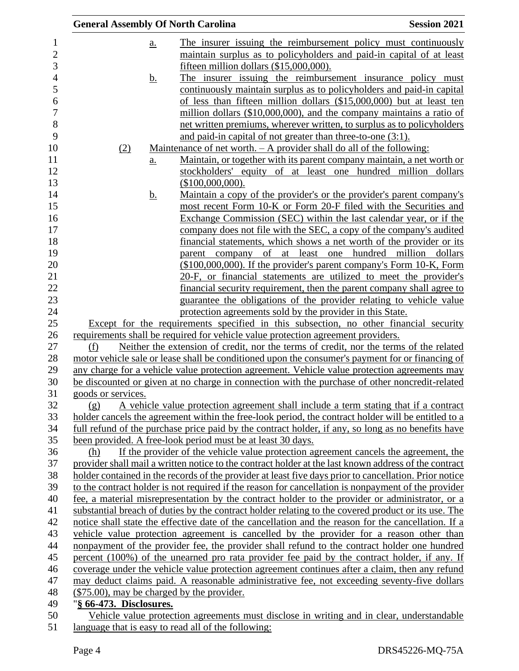| <b>General Assembly Of North Carolina</b>  |                                                                                                                                                                   | <b>Session 2021</b>                                                    |
|--------------------------------------------|-------------------------------------------------------------------------------------------------------------------------------------------------------------------|------------------------------------------------------------------------|
| $a_{\cdot}$                                |                                                                                                                                                                   | The insurer issuing the reimbursement policy must continuously         |
|                                            |                                                                                                                                                                   | maintain surplus as to policyholders and paid-in capital of at least   |
|                                            | fifteen million dollars (\$15,000,000).                                                                                                                           |                                                                        |
| <u>b.</u>                                  |                                                                                                                                                                   | The insurer issuing the reimbursement insurance policy must            |
|                                            |                                                                                                                                                                   | continuously maintain surplus as to policyholders and paid-in capital  |
|                                            |                                                                                                                                                                   | of less than fifteen million dollars (\$15,000,000) but at least ten   |
|                                            |                                                                                                                                                                   | million dollars (\$10,000,000), and the company maintains a ratio of   |
|                                            |                                                                                                                                                                   | net written premiums, wherever written, to surplus as to policyholders |
|                                            | and paid-in capital of not greater than three-to-one (3:1).                                                                                                       |                                                                        |
| (2)                                        | Maintenance of net worth. $- A$ provider shall do all of the following:                                                                                           |                                                                        |
| a.                                         |                                                                                                                                                                   | Maintain, or together with its parent company maintain, a net worth or |
|                                            |                                                                                                                                                                   | stockholders' equity of at least one hundred million dollars           |
|                                            | (\$100,000,000).                                                                                                                                                  |                                                                        |
| <u>b.</u>                                  |                                                                                                                                                                   | Maintain a copy of the provider's or the provider's parent company's   |
|                                            |                                                                                                                                                                   | most recent Form 10-K or Form 20-F filed with the Securities and       |
|                                            |                                                                                                                                                                   | Exchange Commission (SEC) within the last calendar year, or if the     |
|                                            |                                                                                                                                                                   | company does not file with the SEC, a copy of the company's audited    |
|                                            |                                                                                                                                                                   | financial statements, which shows a net worth of the provider or its   |
|                                            | of<br>at least one<br>parent company                                                                                                                              | hundred million dollars                                                |
|                                            |                                                                                                                                                                   | (\$100,000,000). If the provider's parent company's Form 10-K, Form    |
|                                            |                                                                                                                                                                   | 20-F, or financial statements are utilized to meet the provider's      |
|                                            |                                                                                                                                                                   | financial security requirement, then the parent company shall agree to |
|                                            |                                                                                                                                                                   | guarantee the obligations of the provider relating to vehicle value    |
|                                            | protection agreements sold by the provider in this State.                                                                                                         |                                                                        |
|                                            | Except for the requirements specified in this subsection, no other financial security                                                                             |                                                                        |
|                                            | requirements shall be required for vehicle value protection agreement providers.                                                                                  |                                                                        |
| (f)                                        | Neither the extension of credit, nor the terms of credit, nor the terms of the related                                                                            |                                                                        |
|                                            | motor vehicle sale or lease shall be conditioned upon the consumer's payment for or financing of                                                                  |                                                                        |
|                                            | any charge for a vehicle value protection agreement. Vehicle value protection agreements may                                                                      |                                                                        |
|                                            | be discounted or given at no charge in connection with the purchase of other noncredit-related                                                                    |                                                                        |
| goods or services.                         |                                                                                                                                                                   |                                                                        |
| (g)                                        | A vehicle value protection agreement shall include a term stating that if a contract                                                                              |                                                                        |
|                                            | holder cancels the agreement within the free-look period, the contract holder will be entitled to a                                                               |                                                                        |
|                                            | full refund of the purchase price paid by the contract holder, if any, so long as no benefits have<br>been provided. A free-look period must be at least 30 days. |                                                                        |
| (h)                                        | If the provider of the vehicle value protection agreement cancels the agreement, the                                                                              |                                                                        |
|                                            | provider shall mail a written notice to the contract holder at the last known address of the contract                                                             |                                                                        |
|                                            | holder contained in the records of the provider at least five days prior to cancellation. Prior notice                                                            |                                                                        |
|                                            | to the contract holder is not required if the reason for cancellation is nonpayment of the provider                                                               |                                                                        |
|                                            | fee, a material misrepresentation by the contract holder to the provider or administrator, or a                                                                   |                                                                        |
|                                            | substantial breach of duties by the contract holder relating to the covered product or its use. The                                                               |                                                                        |
|                                            | notice shall state the effective date of the cancellation and the reason for the cancellation. If a                                                               |                                                                        |
|                                            | vehicle value protection agreement is cancelled by the provider for a reason other than                                                                           |                                                                        |
|                                            | nonpayment of the provider fee, the provider shall refund to the contract holder one hundred                                                                      |                                                                        |
|                                            | percent (100%) of the unearned pro rata provider fee paid by the contract holder, if any. If                                                                      |                                                                        |
|                                            | coverage under the vehicle value protection agreement continues after a claim, then any refund                                                                    |                                                                        |
|                                            | may deduct claims paid. A reasonable administrative fee, not exceeding seventy-five dollars                                                                       |                                                                        |
| (\$75.00), may be charged by the provider. |                                                                                                                                                                   |                                                                        |
| "§ 66-473. Disclosures.                    |                                                                                                                                                                   |                                                                        |
|                                            | Vehicle value protection agreements must disclose in writing and in clear, understandable                                                                         |                                                                        |
|                                            |                                                                                                                                                                   |                                                                        |

51 language that is easy to read all of the following: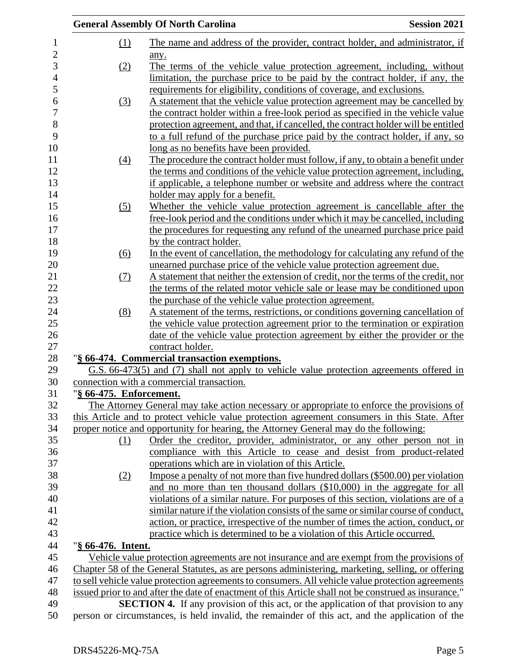|                         | <b>General Assembly Of North Carolina</b>                                                                                                                                            | <b>Session 2021</b> |
|-------------------------|--------------------------------------------------------------------------------------------------------------------------------------------------------------------------------------|---------------------|
| (1)                     | The name and address of the provider, contract holder, and administrator, if                                                                                                         |                     |
|                         | any.                                                                                                                                                                                 |                     |
| (2)                     | The terms of the vehicle value protection agreement, including, without                                                                                                              |                     |
|                         | limitation, the purchase price to be paid by the contract holder, if any, the                                                                                                        |                     |
|                         | requirements for eligibility, conditions of coverage, and exclusions.                                                                                                                |                     |
| (3)                     | A statement that the vehicle value protection agreement may be cancelled by                                                                                                          |                     |
|                         | the contract holder within a free-look period as specified in the vehicle value                                                                                                      |                     |
|                         | protection agreement, and that, if cancelled, the contract holder will be entitled                                                                                                   |                     |
|                         | to a full refund of the purchase price paid by the contract holder, if any, so                                                                                                       |                     |
|                         | long as no benefits have been provided.                                                                                                                                              |                     |
| (4)                     | The procedure the contract holder must follow, if any, to obtain a benefit under                                                                                                     |                     |
|                         | the terms and conditions of the vehicle value protection agreement, including,                                                                                                       |                     |
|                         | if applicable, a telephone number or website and address where the contract                                                                                                          |                     |
|                         | holder may apply for a benefit.                                                                                                                                                      |                     |
| (5)                     | Whether the vehicle value protection agreement is cancellable after the                                                                                                              |                     |
|                         | free-look period and the conditions under which it may be cancelled, including                                                                                                       |                     |
|                         | the procedures for requesting any refund of the unearned purchase price paid                                                                                                         |                     |
|                         | by the contract holder.                                                                                                                                                              |                     |
| (6)                     | In the event of cancellation, the methodology for calculating any refund of the                                                                                                      |                     |
|                         | unearned purchase price of the vehicle value protection agreement due.                                                                                                               |                     |
| <u>(7)</u>              | A statement that neither the extension of credit, nor the terms of the credit, nor                                                                                                   |                     |
|                         | the terms of the related motor vehicle sale or lease may be conditioned upon                                                                                                         |                     |
|                         | the purchase of the vehicle value protection agreement.                                                                                                                              |                     |
| (8)                     | A statement of the terms, restrictions, or conditions governing cancellation of                                                                                                      |                     |
|                         | the vehicle value protection agreement prior to the termination or expiration                                                                                                        |                     |
|                         | date of the vehicle value protection agreement by either the provider or the                                                                                                         |                     |
|                         | contract holder.                                                                                                                                                                     |                     |
|                         | "§ 66-474. Commercial transaction exemptions.                                                                                                                                        |                     |
|                         | G.S. 66-473(5) and (7) shall not apply to vehicle value protection agreements offered in                                                                                             |                     |
|                         | connection with a commercial transaction.                                                                                                                                            |                     |
| "§ 66-475. Enforcement. |                                                                                                                                                                                      |                     |
|                         | The Attorney General may take action necessary or appropriate to enforce the provisions of                                                                                           |                     |
|                         | this Article and to protect vehicle value protection agreement consumers in this State. After                                                                                        |                     |
|                         | proper notice and opportunity for hearing, the Attorney General may do the following:                                                                                                |                     |
| (1)                     | Order the creditor, provider, administrator, or any other person not in                                                                                                              |                     |
|                         | compliance with this Article to cease and desist from product-related                                                                                                                |                     |
|                         | operations which are in violation of this Article.                                                                                                                                   |                     |
| (2)                     | Impose a penalty of not more than five hundred dollars (\$500.00) per violation                                                                                                      |                     |
|                         | and no more than ten thousand dollars (\$10,000) in the aggregate for all                                                                                                            |                     |
|                         | violations of a similar nature. For purposes of this section, violations are of a                                                                                                    |                     |
|                         | similar nature if the violation consists of the same or similar course of conduct,                                                                                                   |                     |
|                         | action, or practice, irrespective of the number of times the action, conduct, or                                                                                                     |                     |
|                         | practice which is determined to be a violation of this Article occurred.                                                                                                             |                     |
| "§ 66-476. Intent.      |                                                                                                                                                                                      |                     |
|                         | Vehicle value protection agreements are not insurance and are exempt from the provisions of                                                                                          |                     |
|                         | Chapter 58 of the General Statutes, as are persons administering, marketing, selling, or offering                                                                                    |                     |
|                         | to sell vehicle value protection agreements to consumers. All vehicle value protection agreements                                                                                    |                     |
|                         | issued prior to and after the date of enactment of this Article shall not be construed as insurance."                                                                                |                     |
|                         | <b>SECTION 4.</b> If any provision of this act, or the application of that provision to any<br>incorporation as a hold involve the nomeipole of this est, and the evolvestion of the |                     |